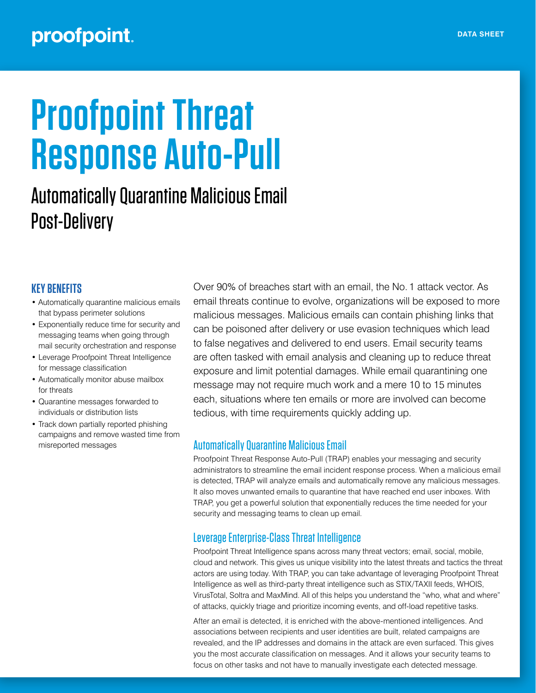## proofpoint.

# **Proofpoint Threat Response Auto-Pull**

## Automatically Quarantine Malicious Email Post-Delivery

#### **KEY BENEFITS**

- Automatically quarantine malicious emails that bypass perimeter solutions
- Exponentially reduce time for security and messaging teams when going through mail security orchestration and response
- Leverage Proofpoint Threat Intelligence for message classification
- Automatically monitor abuse mailbox for threats
- Quarantine messages forwarded to individuals or distribution lists
- Track down partially reported phishing campaigns and remove wasted time from misreported messages

Over 90% of breaches start with an email, the No. 1 attack vector. As email threats continue to evolve, organizations will be exposed to more malicious messages. Malicious emails can contain phishing links that can be poisoned after delivery or use evasion techniques which lead to false negatives and delivered to end users. Email security teams are often tasked with email analysis and cleaning up to reduce threat exposure and limit potential damages. While email quarantining one message may not require much work and a mere 10 to 15 minutes each, situations where ten emails or more are involved can become tedious, with time requirements quickly adding up.

#### Automatically Quarantine Malicious Email

Proofpoint Threat Response Auto-Pull (TRAP) enables your messaging and security administrators to streamline the email incident response process. When a malicious email is detected, TRAP will analyze emails and automatically remove any malicious messages. It also moves unwanted emails to quarantine that have reached end user inboxes. With TRAP, you get a powerful solution that exponentially reduces the time needed for your security and messaging teams to clean up email.

#### Leverage Enterprise-Class Threat Intelligence

Proofpoint Threat Intelligence spans across many threat vectors; email, social, mobile, cloud and network. This gives us unique visibility into the latest threats and tactics the threat actors are using today. With TRAP, you can take advantage of leveraging Proofpoint Threat Intelligence as well as third-party threat intelligence such as STIX/TAXII feeds, WHOIS, VirusTotal, Soltra and MaxMind. All of this helps you understand the "who, what and where" of attacks, quickly triage and prioritize incoming events, and off-load repetitive tasks.

After an email is detected, it is enriched with the above-mentioned intelligences. And associations between recipients and user identities are built, related campaigns are revealed, and the IP addresses and domains in the attack are even surfaced. This gives you the most accurate classification on messages. And it allows your security teams to focus on other tasks and not have to manually investigate each detected message.